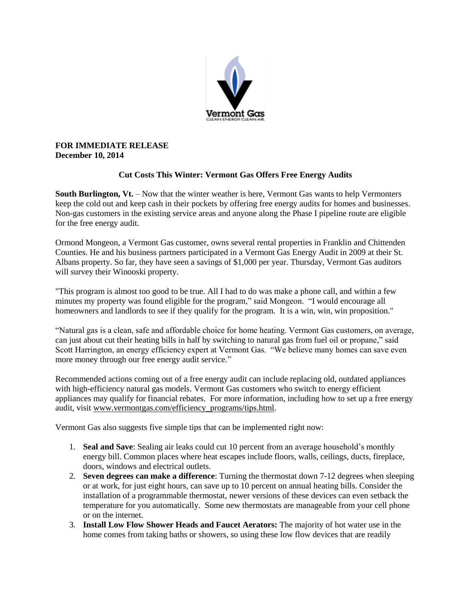

## **FOR IMMEDIATE RELEASE December 10, 2014**

# **Cut Costs This Winter: Vermont Gas Offers Free Energy Audits**

**South Burlington, Vt.** – Now that the winter weather is here, Vermont Gas wants to help Vermonters keep the cold out and keep cash in their pockets by offering free energy audits for homes and businesses. Non-gas customers in the existing service areas and anyone along the Phase I pipeline route are eligible for the free energy audit.

Ormond Mongeon, a Vermont Gas customer, owns several rental properties in Franklin and Chittenden Counties. He and his business partners participated in a Vermont Gas Energy Audit in 2009 at their St. Albans property. So far, they have seen a savings of \$1,000 per year. Thursday, Vermont Gas auditors will survey their Winooski property.

"This program is almost too good to be true. All I had to do was make a phone call, and within a few minutes my property was found eligible for the program," said Mongeon. "I would encourage all homeowners and landlords to see if they qualify for the program. It is a win, win, win proposition."

"Natural gas is a clean, safe and affordable choice for home heating. Vermont Gas customers, on average, can just about cut their heating bills in half by switching to natural gas from fuel oil or propane," said Scott Harrington, an energy efficiency expert at Vermont Gas. "We believe many homes can save even more money through our free energy audit service."

Recommended actions coming out of a free energy audit can include replacing old, outdated appliances with high-efficiency natural gas models. Vermont Gas customers who switch to energy efficient appliances may qualify for financial rebates. For more information, including how to set up a free energy audit, visit [www.vermontgas.com/efficiency\\_programs/tips.html.](http://www.vermontgas.com/efficiency_programs/tips.html)

Vermont Gas also suggests five simple tips that can be implemented right now:

- 1. **Seal and Save**: Sealing air leaks could cut 10 percent from an average household's monthly energy bill. Common places where heat escapes include floors, walls, ceilings, ducts, fireplace, doors, windows and electrical outlets.
- 2. **Seven degrees can make a difference**: Turning the thermostat down 7-12 degrees when sleeping or at work, for just eight hours, can save up to 10 percent on annual heating bills. Consider the installation of a programmable thermostat, newer versions of these devices can even setback the temperature for you automatically. Some new thermostats are manageable from your cell phone or on the internet.
- 3. **Install Low Flow Shower Heads and Faucet Aerators:** The majority of hot water use in the home comes from taking baths or showers, so using these low flow devices that are readily